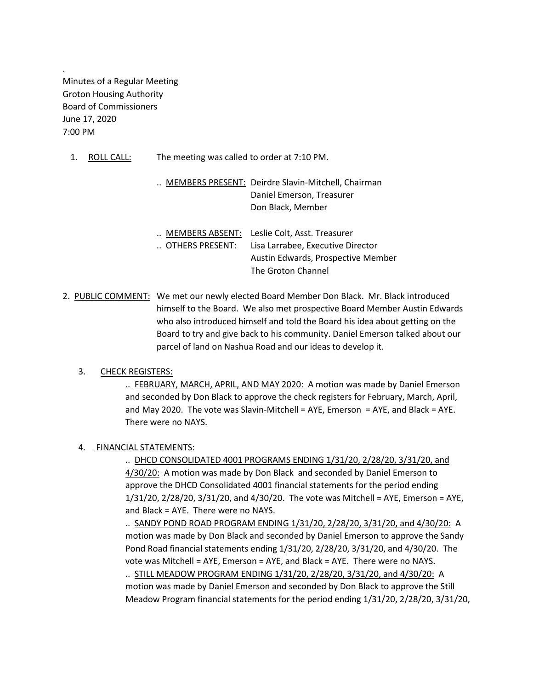Minutes of a Regular Meeting Groton Housing Authority Board of Commissioners June 17, 2020 7:00 PM

.

1. ROLL CALL: The meeting was called to order at 7:10 PM.

|  | MEMBERS PRESENT: Deirdre Slavin-Mitchell, Chairman |
|--|----------------------------------------------------|
|  | Daniel Emerson, Treasurer                          |
|  | Don Black, Member                                  |

| MEMBERS ABSENT: | Leslie Colt, Asst. Treasurer       |
|-----------------|------------------------------------|
| OTHERS PRESENT: | Lisa Larrabee, Executive Director  |
|                 | Austin Edwards, Prospective Member |
|                 | The Groton Channel                 |

2. PUBLIC COMMENT: We met our newly elected Board Member Don Black. Mr. Black introduced himself to the Board. We also met prospective Board Member Austin Edwards who also introduced himself and told the Board his idea about getting on the Board to try and give back to his community. Daniel Emerson talked about our parcel of land on Nashua Road and our ideas to develop it.

### 3. CHECK REGISTERS:

.. FEBRUARY, MARCH, APRIL, AND MAY 2020: A motion was made by Daniel Emerson and seconded by Don Black to approve the check registers for February, March, April, and May 2020. The vote was Slavin-Mitchell = AYE, Emerson = AYE, and Black = AYE. There were no NAYS.

### 4. FINANCIAL STATEMENTS:

.. DHCD CONSOLIDATED 4001 PROGRAMS ENDING 1/31/20, 2/28/20, 3/31/20, and 4/30/20: A motion was made by Don Black and seconded by Daniel Emerson to approve the DHCD Consolidated 4001 financial statements for the period ending 1/31/20, 2/28/20, 3/31/20, and 4/30/20. The vote was Mitchell = AYE, Emerson = AYE, and Black = AYE. There were no NAYS.

.. SANDY POND ROAD PROGRAM ENDING 1/31/20, 2/28/20, 3/31/20, and 4/30/20: A motion was made by Don Black and seconded by Daniel Emerson to approve the Sandy Pond Road financial statements ending 1/31/20, 2/28/20, 3/31/20, and 4/30/20. The vote was Mitchell = AYE, Emerson = AYE, and Black = AYE. There were no NAYS.

.. STILL MEADOW PROGRAM ENDING 1/31/20, 2/28/20, 3/31/20, and 4/30/20: A motion was made by Daniel Emerson and seconded by Don Black to approve the Still Meadow Program financial statements for the period ending 1/31/20, 2/28/20, 3/31/20,